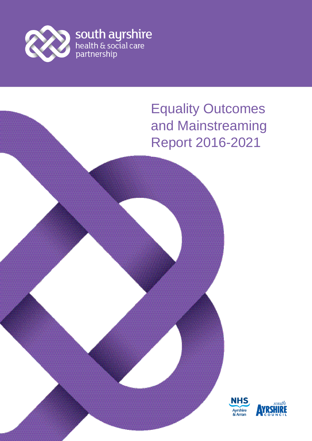

# Equality Outcomes and Mainstreaming Report 2016-2021

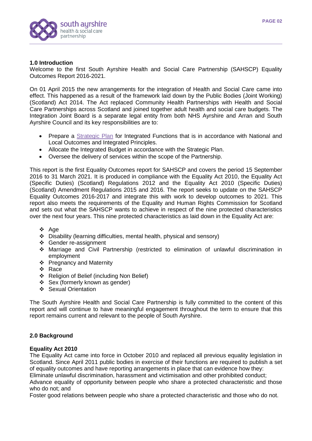

#### **1.0 Introduction**

Welcome to the first South Ayrshire Health and Social Care Partnership (SAHSCP) Equality Outcomes Report 2016-2021.

On 01 April 2015 the new arrangements for the integration of Health and Social Care came into effect. This happened as a result of the framework laid down by the Public Bodies (Joint Working) (Scotland) Act 2014. The Act replaced Community Health Partnerships with Health and Social Care Partnerships across Scotland and joined together adult health and social care budgets. The Integration Joint Board is a separate legal entity from both NHS Ayrshire and Arran and South Ayrshire Council and its key responsibilities are to:

- Prepare a [Strategic Plan](http://www.south-ayrshire.gov.uk/health-social-care-partnership/documents/south%20ayrshire%20health%20and%20social%20care%20partnership%20strategic%20plan%202016%20to%202019%20volume%201.pdf) for Integrated Functions that is in accordance with National and Local Outcomes and Integrated Principles.
- Allocate the Integrated Budget in accordance with the Strategic Plan.
- Oversee the delivery of services within the scope of the Partnership.

This report is the first Equality Outcomes report for SAHSCP and covers the period 15 September 2016 to 31 March 2021. It is produced in compliance with the Equality Act 2010, the Equality Act (Specific Duties) (Scotland) Regulations 2012 and the Equality Act 2010 (Specific Duties) (Scotland) Amendment Regulations 2015 and 2016. The report seeks to update on the SAHSCP Equality Outcomes 2016-2017 and integrate this with work to develop outcomes to 2021. This report also meets the requirements of the Equality and Human Rights Commission for Scotland and sets out what the SAHSCP wants to achieve in respect of the nine protected characteristics over the next four years. This nine protected characteristics as laid down in the Equality Act are:

- ❖ Age
- Disability (learning difficulties, mental health, physical and sensory)
- Gender re-assignment
- Marriage and Civil Partnership (restricted to elimination of unlawful discrimination in employment
- ❖ Pregnancy and Maternity
- ❖ Race
- ❖ Religion of Belief (including Non Belief)
- Sex (formerly known as gender)
- Sexual Orientation

The South Ayrshire Health and Social Care Partnership is fully committed to the content of this report and will continue to have meaningful engagement throughout the term to ensure that this report remains current and relevant to the people of South Ayrshire.

## **2.0 Background**

#### **Equality Act 2010**

The Equality Act came into force in October 2010 and replaced all previous equality legislation in Scotland. Since April 2011 public bodies in exercise of their functions are required to publish a set of equality outcomes and have reporting arrangements in place that can evidence how they: Eliminate unlawful discrimination, harassment and victimisation and other prohibited conduct;

Advance equality of opportunity between people who share a protected characteristic and those who do not; and

Foster good relations between people who share a protected characteristic and those who do not.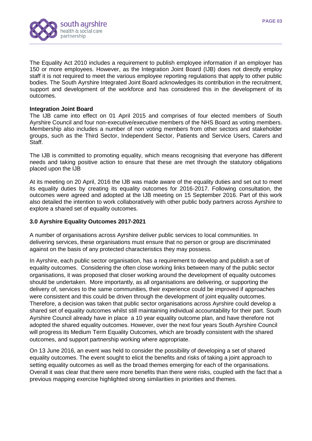



The Equality Act 2010 includes a requirement to publish employee information if an employer has 150 or more employees. However, as the Integration Joint Board (IJB) does not directly employ staff it is not required to meet the various employee reporting regulations that apply to other public bodies. The South Ayrshire Integrated Joint Board acknowledges its contribution in the recruitment, support and development of the workforce and has considered this in the development of its outcomes.

#### **Integration Joint Board**

The IJB came into effect on 01 April 2015 and comprises of four elected members of South Ayrshire Council and four non-executive/executive members of the NHS Board as voting members. Membership also includes a number of non voting members from other sectors and stakeholder groups, such as the Third Sector, Independent Sector, Patients and Service Users, Carers and Staff.

The IJB is committed to promoting equality, which means recognising that everyone has different needs and taking positive action to ensure that these are met through the statutory obligations placed upon the IJB

At its meeting on 20 April, 2016 the IJB was made aware of the equality duties and set out to meet its equality duties by creating its equality outcomes for 2016-2017. Following consultation, the outcomes were agreed and adopted at the IJB meeting on 15 September 2016. Part of this work also detailed the intention to work collaboratively with other public body partners across Ayrshire to explore a shared set of equality outcomes.

### **3.0 Ayrshire Equality Outcomes 2017-2021**

A number of organisations across Ayrshire deliver public services to local communities. In delivering services, these organisations must ensure that no person or group are discriminated against on the basis of any protected characteristics they may possess.

In Ayrshire, each public sector organisation, has a requirement to develop and publish a set of equality outcomes. Considering the often close working links between many of the public sector organisations, it was proposed that closer working around the development of equality outcomes should be undertaken. More importantly, as all organisations are delivering, or supporting the delivery of, services to the same communities, their experience could be improved if approaches were consistent and this could be driven through the development of joint equality outcomes. Therefore, a decision was taken that public sector organisations across Ayrshire could develop a shared set of equality outcomes whilst still maintaining individual accountability for their part. South Ayrshire Council already have in place a 10 year equality outcome plan, and have therefore not adopted the shared equality outcomes. However, over the next four years South Ayrshire Council will progress its Medium Term Equality Outcomes, which are broadly consistent with the shared outcomes, and support partnership working where appropriate.

On 13 June 2016, an event was held to consider the possibility of developing a set of shared equality outcomes. The event sought to elicit the benefits and risks of taking a joint approach to setting equality outcomes as well as the broad themes emerging for each of the organisations. Overall it was clear that there were more benefits than there were risks, coupled with the fact that a previous mapping exercise highlighted strong similarities in priorities and themes.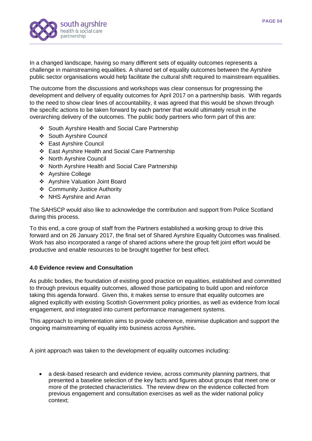

In a changed landscape, having so many different sets of equality outcomes represents a challenge in mainstreaming equalities. A shared set of equality outcomes between the Ayrshire public sector organisations would help facilitate the cultural shift required to mainstream equalities.

The outcome from the discussions and workshops was clear consensus for progressing the development and delivery of equality outcomes for April 2017 on a partnership basis. With regards to the need to show clear lines of accountability, it was agreed that this would be shown through the specific actions to be taken forward by each partner that would ultimately result in the overarching delivery of the outcomes. The public body partners who form part of this are:

- South Ayrshire Health and Social Care Partnership
- ❖ South Avrshire Council
- East Ayrshire Council
- East Ayrshire Health and Social Care Partnership
- ❖ North Ayrshire Council
- North Ayrshire Health and Social Care Partnership
- ❖ Ayrshire College
- Ayrshire Valuation Joint Board
- Community Justice Authority
- ❖ NHS Ayrshire and Arran

The SAHSCP would also like to acknowledge the contribution and support from Police Scotland during this process.

To this end, a core group of staff from the Partners established a working group to drive this forward and on 26 January 2017, the final set of Shared Ayrshire Equality Outcomes was finalised. Work has also incorporated a range of shared actions where the group felt joint effort would be productive and enable resources to be brought together for best effect.

## **4.0 Evidence review and Consultation**

As public bodies, the foundation of existing good practice on equalities, established and committed to through previous equality outcomes, allowed those participating to build upon and reinforce taking this agenda forward. Given this, it makes sense to ensure that equality outcomes are aligned explicitly with existing Scottish Government policy priorities, as well as evidence from local engagement, and integrated into current performance management systems.

This approach to implementation aims to provide coherence, minimise duplication and support the ongoing mainstreaming of equality into business across Ayrshire**.**

A joint approach was taken to the development of equality outcomes including:

 a desk-based research and evidence review, across community planning partners, that presented a baseline selection of the key facts and figures about groups that meet one or more of the protected characteristics. The review drew on the evidence collected from previous engagement and consultation exercises as well as the wider national policy context;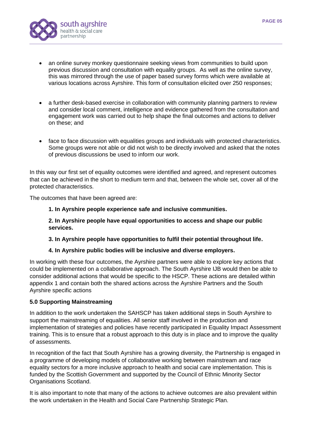

- an online survey monkey questionnaire seeking views from communities to build upon previous discussion and consultation with equality groups. As well as the online survey, this was mirrored through the use of paper based survey forms which were available at various locations across Ayrshire. This form of consultation elicited over 250 responses;
- a further desk-based exercise in collaboration with community planning partners to review and consider local comment, intelligence and evidence gathered from the consultation and engagement work was carried out to help shape the final outcomes and actions to deliver on these; and
- face to face discussion with equalities groups and individuals with protected characteristics. Some groups were not able or did not wish to be directly involved and asked that the notes of previous discussions be used to inform our work.

In this way our first set of equality outcomes were identified and agreed, and represent outcomes that can be achieved in the short to medium term and that, between the whole set, cover all of the protected characteristics.

The outcomes that have been agreed are:

#### **1. In Ayrshire people experience safe and inclusive communities.**

**2. In Ayrshire people have equal opportunities to access and shape our public services.**

#### **3. In Ayrshire people have opportunities to fulfil their potential throughout life.**

## **4. In Ayrshire public bodies will be inclusive and diverse employers.**

In working with these four outcomes, the Ayrshire partners were able to explore key actions that could be implemented on a collaborative approach. The South Ayrshire IJB would then be able to consider additional actions that would be specific to the HSCP. These actions are detailed within appendix 1 and contain both the shared actions across the Ayrshire Partners and the South Ayrshire specific actions

## **5.0 Supporting Mainstreaming**

In addition to the work undertaken the SAHSCP has taken additional steps in South Ayrshire to support the mainstreaming of equalities. All senior staff involved in the production and implementation of strategies and policies have recently participated in Equality Impact Assessment training. This is to ensure that a robust approach to this duty is in place and to improve the quality of assessments.

In recognition of the fact that South Ayrshire has a growing diversity, the Partnership is engaged in a programme of developing models of collaborative working between mainstream and race equality sectors for a more inclusive approach to health and social care implementation. This is funded by the Scottish Government and supported by the Council of Ethnic Minority Sector Organisations Scotland.

It is also important to note that many of the actions to achieve outcomes are also prevalent within the work undertaken in the Health and Social Care Partnership Strategic Plan.